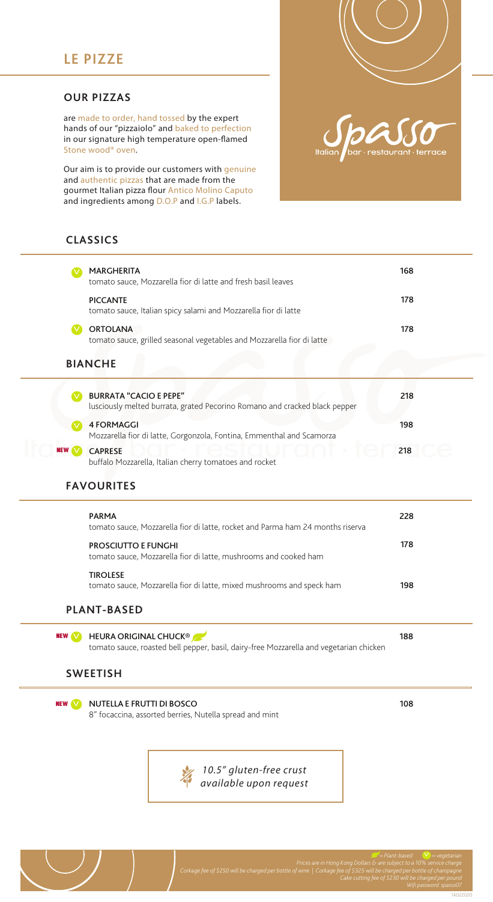## **OUR PIZZAS**

are made to order, hand tossed by the expert hands of our "pizzaiolo" and baked to perfection in our signature high temperature open-flamed Stone wood® oven.

Our aim is to provide our customers with genuine and authentic pizzas that are made from the gourmet Italian pizza flour Antico Molino Caputo and ingredients among D.O.P and I.G.P labels.

## **CLASSICS**

|                    | <b>MARGHERITA</b><br>tomato sauce, Mozzarella fior di latte and fresh basil leaves                                     | 168 |
|--------------------|------------------------------------------------------------------------------------------------------------------------|-----|
|                    | <b>PICCANTE</b><br>tomato sauce, Italian spicy salami and Mozzarella fior di latte                                     | 178 |
| V                  | <b>ORTOLANA</b><br>tomato sauce, grilled seasonal vegetables and Mozzarella fior di latte                              | 178 |
| <b>BIANCHE</b>     |                                                                                                                        |     |
|                    | <b>BURRATA "CACIO E PEPE"</b><br>lusciously melted burrata, grated Pecorino Romano and cracked black pepper            | 218 |
|                    | <b>4 FORMAGGI</b><br>Mozzarella fior di latte, Gorgonzola, Fontina, Emmenthal and Scamorza                             | 198 |
| NEW                | <b>CAPRESE</b><br>buffalo Mozzarella, Italian cherry tomatoes and rocket                                               | 218 |
| <b>FAVOURITES</b>  |                                                                                                                        |     |
|                    | <b>PARMA</b><br>tomato sauce, Mozzarella fior di latte, rocket and Parma ham 24 months riserva                         | 228 |
|                    | PROSCIUTTO E FUNGHI<br>tomato sauce, Mozzarella fior di latte, mushrooms and cooked ham                                | 178 |
|                    | <b>TIROLESE</b><br>tomato sauce, Mozzarella fior di latte, mixed mushrooms and speck ham                               | 198 |
| <b>PLANT-BASED</b> |                                                                                                                        |     |
| <b>NEW</b>         | <b>HEURA ORIGINAL CHUCK®</b><br>tomato sauce, roasted bell pepper, basil, dairy-free Mozzarella and vegetarian chicken | 188 |
| <b>SWEETISH</b>    |                                                                                                                        |     |
| <b>NEW</b>         | <b>NUTELLA E FRUTTI DI BOSCO</b><br>8" focaccina, assorted berries, Nutella spread and mint                            | 108 |
|                    | 10.5" gluten-free crust<br>available upon request                                                                      |     |

 *= Plant-based = vegetarian*  $\overline{\vee}$